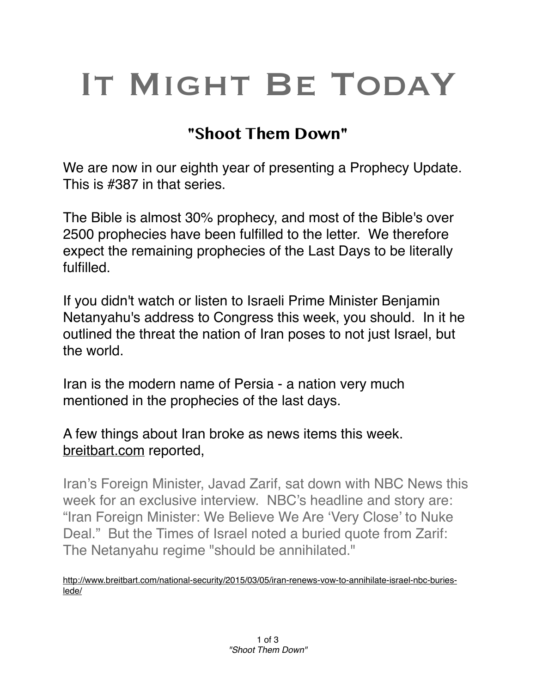## IT MIGHT BE TODAY

## **"Shoot Them Down"**

We are now in our eighth year of presenting a Prophecy Update. This is #387 in that series.

The Bible is almost 30% prophecy, and most of the Bible's over 2500 prophecies have been fulfilled to the letter. We therefore expect the remaining prophecies of the Last Days to be literally fulfilled.

If you didn't watch or listen to Israeli Prime Minister Benjamin Netanyahu's address to Congress this week, you should. In it he outlined the threat the nation of Iran poses to not just Israel, but the world.

Iran is the modern name of Persia - a nation very much mentioned in the prophecies of the last days.

A few things about Iran broke as news items this week. [breitbart.com](http://breitbart.com) reported,

Iran's Foreign Minister, Javad Zarif, sat down with NBC News this week for an exclusive interview. NBC's headline and story are: "Iran Foreign Minister: We Believe We Are 'Very Close' to Nuke Deal." But the Times of Israel noted a buried quote from Zarif: The Netanyahu regime "should be annihilated."

[http://www.breitbart.com/national-security/2015/03/05/iran-renews-vow-to-annihilate-israel-nbc-buries](http://www.breitbart.com/national-security/2015/03/05/iran-renews-vow-to-annihilate-israel-nbc-buries-lede/)lede/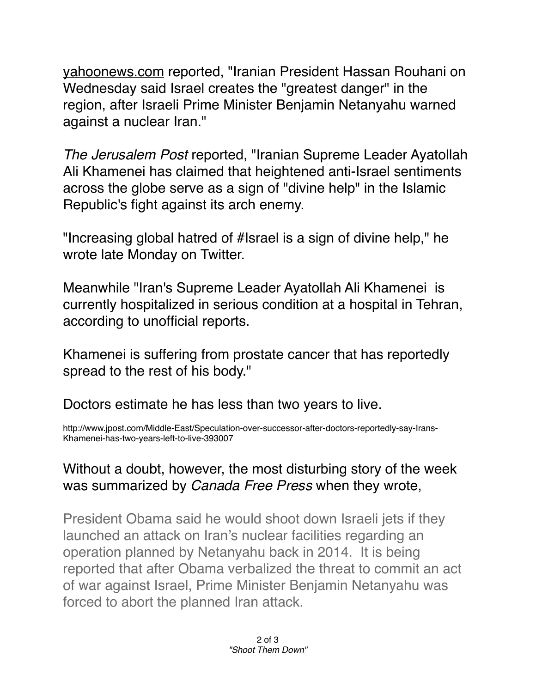[yahoonews.com](http://yahoonews.com) reported, "Iranian President Hassan Rouhani on Wednesday said Israel creates the "greatest danger" in the region, after Israeli Prime Minister Benjamin Netanyahu warned against a nuclear Iran."

*The Jerusalem Post* reported, "Iranian Supreme Leader Ayatollah Ali Khamenei has claimed that heightened anti-Israel sentiments across the globe serve as a sign of "divine help" in the Islamic Republic's fight against its arch enemy.

"Increasing global hatred of #Israel is a sign of divine help," he wrote late Monday on Twitter.

Meanwhile "Iran's Supreme Leader Ayatollah Ali Khamenei is currently hospitalized in serious condition at a hospital in Tehran, according to unofficial reports.

Khamenei is suffering from prostate cancer that has reportedly spread to the rest of his body."

Doctors estimate he has less than two years to live.

http://www.jpost.com/Middle-East/Speculation-over-successor-after-doctors-reportedly-say-Irans-Khamenei-has-two-years-left-to-live-393007

## Without a doubt, however, the most disturbing story of the week was summarized by *Canada Free Press* when they wrote,

President Obama said he would shoot down Israeli jets if they launched an attack on Iran's nuclear facilities regarding an operation planned by Netanyahu back in 2014. It is being reported that after Obama verbalized the threat to commit an act of war against Israel, Prime Minister Benjamin Netanyahu was forced to abort the planned Iran attack.